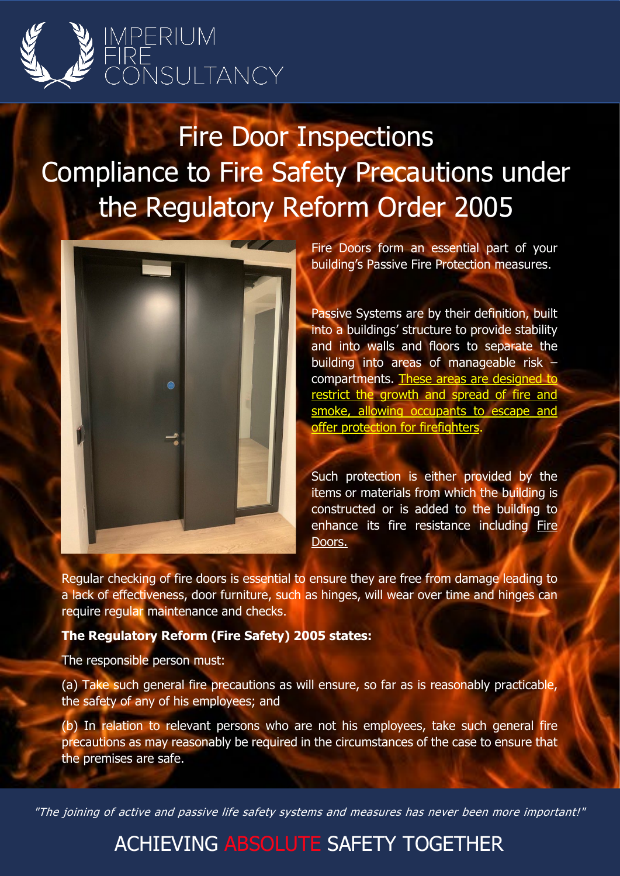

Fire Door Inspections Compliance to Fire Safety Precautions under the Regulatory Reform Order 2005



Fire Doors form an essential part of your building's Passive Fire Protection measures.

Passive Systems are by their definition, built into a buildings' structure to provide stability and into walls and floors to separate the building into areas of manageable risk – compartments. These areas are designed to restrict the growth and spread of fire and smoke, allowing occupants to escape and offer protection for firefighters.

Such protection is either provided by the items or materials from which the building is constructed or is added to the building to enhance its fire resistance including Fire Doors.

Regular checking of fire doors is essential to ensure they are free from damage leading to a lack of effectiveness, door furniture, such as hinges, will wear over time and hinges can require regular maintenance and checks.

## **The Regulatory Reform (Fire Safety) 2005 states:**

The responsible person must:

(a) Take such general fire precautions as will ensure, so far as is reasonably practicable, the safety of any of his employees; and

(b) In relation to relevant persons who are not his employees, take such general fire precautions as may reasonably be required in the circumstances of the case to ensure that the premises are safe.

"The joining of active and passive life safety systems and measures has never been more important!"

## ACHIEVING ABSOLUTE SAFETY TOGETHER